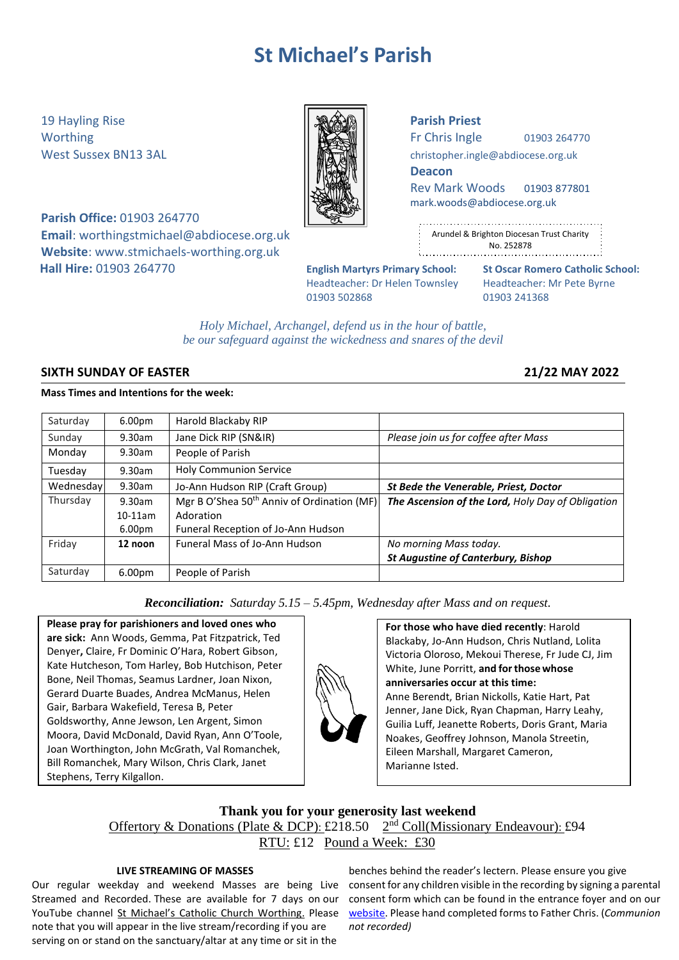# **St Michael's Parish**

19 Hayling Rise **Parish Priest**

**Parish Office:** 01903 264770 **Email**: [worthingstmichael@abdiocese.org.uk](mailto:worthingstmichael@abdiocese.org.uk) **Website**: [www.stmichaels-worthing.org.uk](http://www.stmichaels-worthing.org.uk/) **Hall Hire:** 01903 264770 **English Martyrs Primary School: St Oscar Romero Catholic School:**

Worthing  $\parallel$   $\parallel$   $\parallel$   $\parallel$   $\parallel$  Fr Chris Ingle 01903 264770

West Sussex BN13 3AL **[christopher.ingle@abdiocese.org.uk](mailto:christopher.ingle@abdiocese.org.uk)** | **christopher.ingle@abdiocese.org.uk** 

**Deacon**

Rev Mark Woods 01903 877801 [mark.woods@abdiocese.org.uk](mailto:mark.woods@abdiocese.org.uk)

| ٠                                              |
|------------------------------------------------|
| ÷<br>Arundel & Brighton Diocesan Trust Charity |
| ٠<br>No. 252878<br>٠<br>٠                      |
|                                                |

Headteacher: Dr Helen Townsley Headteacher: Mr Pete Byrne 01903 502868 01903 241368

*Holy Michael, Archangel, defend us in the hour of battle, be our safeguard against the wickedness and snares of the devil*

# **SIXTH SUNDAY OF EASTER 21/22 MAY 2022**

# **Mass Times and Intentions for the week:**

| Saturday  | 6.00 <sub>pm</sub> | Harold Blackaby RIP                                    |                                                   |
|-----------|--------------------|--------------------------------------------------------|---------------------------------------------------|
| Sunday    | 9.30am             | Jane Dick RIP (SN&IR)                                  | Please join us for coffee after Mass              |
| Monday    | $9.30$ am          | People of Parish                                       |                                                   |
| Tuesday   | 9.30am             | <b>Holy Communion Service</b>                          |                                                   |
| Wednesday | 9.30am             | Jo-Ann Hudson RIP (Craft Group)                        | <b>St Bede the Venerable, Priest, Doctor</b>      |
| Thursday  | 9.30am             | Mgr B O'Shea 50 <sup>th</sup> Anniv of Ordination (MF) | The Ascension of the Lord, Holy Day of Obligation |
|           | $10-11$ am         | Adoration                                              |                                                   |
|           | 6.00 <sub>pm</sub> | Funeral Reception of Jo-Ann Hudson                     |                                                   |
| Friday    | 12 noon            | <b>Funeral Mass of Jo-Ann Hudson</b>                   | No morning Mass today.                            |
|           |                    |                                                        | <b>St Augustine of Canterbury, Bishop</b>         |
| Saturday  | 6.00 <sub>pm</sub> | People of Parish                                       |                                                   |

*Reconciliation: Saturday 5.15 – 5.45pm, Wednesday after Mass and on request.*

**Please pray for parishioners and loved ones who are sick:** Ann Woods, Gemma, Pat Fitzpatrick, Ted Denyer**,** Claire, Fr Dominic O'Hara, Robert Gibson, Kate Hutcheson, Tom Harley, Bob Hutchison, Peter Bone, Neil Thomas, Seamus Lardner, Joan Nixon, Gerard Duarte Buades, Andrea McManus, Helen Gair, Barbara Wakefield, Teresa B, Peter Goldsworthy, Anne Jewson, Len Argent, Simon Moora, David McDonald, David Ryan, Ann O'Toole, Joan Worthington, John McGrath, Val Romanchek, Bill Romanchek, Mary Wilson, Chris Clark, Janet Stephens, Terry Kilgallon.

**For those who have died recently**: Harold Blackaby, Jo-Ann Hudson, Chris Nutland, Lolita Victoria Oloroso, Mekoui Therese, Fr Jude CJ, Jim White, June Porritt, **and forthose whose anniversaries occur at this time:** Anne Berendt, Brian Nickolls, Katie Hart, Pat Jenner, Jane Dick, Ryan Chapman, Harry Leahy, Guilia Luff, Jeanette Roberts, Doris Grant, Maria Noakes, Geoffrey Johnson, Manola Streetin, Eileen Marshall, Margaret Cameron, Marianne Isted.

# **Thank you for your generosity last weekend** Offertory & Donations (Plate & DCP): £218.50 2<sup>nd</sup> Coll(Missionary Endeavour): £94 RTU: £12 Pound a Week: £30

# **LIVE STREAMING OF MASSES**

Our regular weekday and weekend Masses are being Live Streamed and Recorded. These are available for 7 days on our note that you will appear in the live stream/recording if you are serving on or stand on the sanctuary/altar at any time or sit in the

YouTube channel [St Michael's Catholic Church Worthing](https://www.youtube.com/channel/UCJbxYiC8NIvWP1CZ6Ate-fA/videos). Please vebsite. Please hand completed forms to Father Chris. (*Communion* benches behind the reader's lectern. Please ensure you give consent for any children visible in the recording by signing a parental consent form which can be found in the entrance foyer and on our *not recorded)*